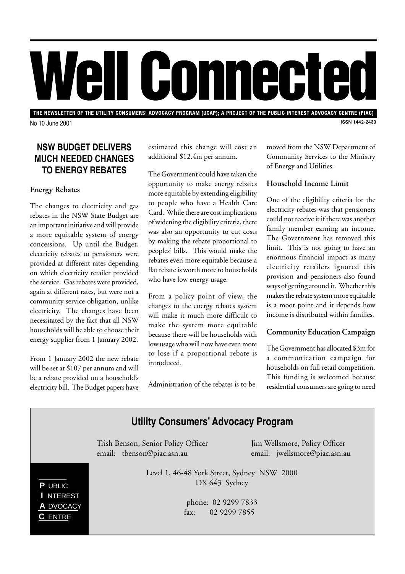# Well Comnected

THE NEWSLETTER OF THE UTILITY CONSUMERS' ADVOCACY PROGRAM (UCAP); A PROJECT OF THE PUBLIC INTEREST ADVOCACY CENTRE (PIAC)

No 10 June 2001

#### **ISSN 1442-2433**

# **NSW BUDGET DELIVERS MUCH NEEDED CHANGES TO ENERGY REBATES**

## **Energy Rebates**

The changes to electricity and gas rebates in the NSW State Budget are an important initiative and will provide a more equitable system of energy concessions. Up until the Budget, electricity rebates to pensioners were provided at different rates depending on which electricity retailer provided the service. Gas rebates were provided, again at different rates, but were not a community service obligation, unlike electricity. The changes have been necessitated by the fact that all NSW households will be able to choose their energy supplier from 1 January 2002.

From 1 January 2002 the new rebate will be set at \$107 per annum and will be a rebate provided on a household's electricity bill. The Budget papers have estimated this change will cost an additional \$12.4m per annum.

The Government could have taken the opportunity to make energy rebates more equitable by extending eligibility to people who have a Health Care Card. While there are cost implications of widening the eligibility criteria, there was also an opportunity to cut costs by making the rebate proportional to peoples' bills. This would make the rebates even more equitable because a flat rebate is worth more to households who have low energy usage.

From a policy point of view, the changes to the energy rebates system will make it much more difficult to make the system more equitable because there will be households with low usage who will now have even more to lose if a proportional rebate is introduced.

Administration of the rebates is to be

moved from the NSW Department of Community Services to the Ministry of Energy and Utilities.

## **Household Income Limit**

One of the eligibility criteria for the electricity rebates was that pensioners could not receive it if there was another family member earning an income. The Government has removed this limit. This is not going to have an enormous financial impact as many electricity retailers ignored this provision and pensioners also found ways of getting around it. Whether this makes the rebate system more equitable is a moot point and it depends how income is distributed within families.

## **Community Education Campaign**

The Government has allocated \$3m for a communication campaign for households on full retail competition. This funding is welcomed because residential consumers are going to need

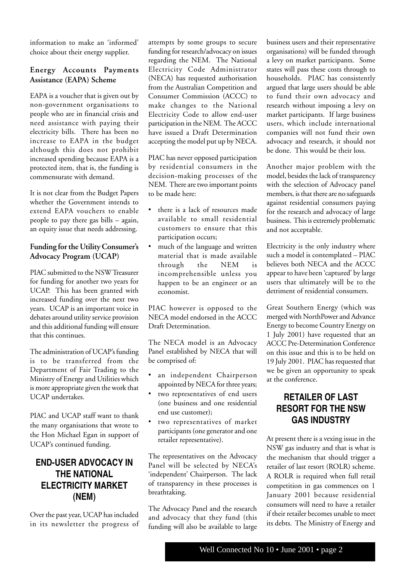information to make an 'informed' choice about their energy supplier.

#### **Energy Accounts Payments Assistance (EAPA) Scheme**

EAPA is a voucher that is given out by non-government organisations to people who are in financial crisis and need assistance with paying their electricity bills. There has been no increase to EAPA in the budget although this does not prohibit increased spending because EAPA is a protected item, that is, the funding is commensurate with demand.

It is not clear from the Budget Papers whether the Government intends to extend EAPA vouchers to enable people to pay there gas bills – again, an equity issue that needs addressing.

#### **Funding for the Utility Consumer's Advocacy Program (UCAP)**

PIAC submitted to the NSW Treasurer for funding for another two years for UCAP. This has been granted with increased funding over the next two years. UCAP is an important voice in debates around utility service provision and this additional funding will ensure that this continues.

The administration of UCAP's funding is to be transferred from the Department of Fair Trading to the Ministry of Energy and Utilities which is more appropriate given the work that UCAP undertakes.

PIAC and UCAP staff want to thank the many organisations that wrote to the Hon Michael Egan in support of UCAP's continued funding.

# **END-USER ADVOCACY IN THE NATIONAL ELECTRICITY MARKET (NEM)**

Over the past year, UCAP has included in its newsletter the progress of

attempts by some groups to secure funding for research/advocacy on issues regarding the NEM. The National Electricity Code Administrator (NECA) has requested authorisation from the Australian Competition and Consumer Commission (ACCC) to make changes to the National Electricity Code to allow end-user participation in the NEM. The ACCC have issued a Draft Determination accepting the model put up by NECA.

PIAC has never opposed participation by residential consumers in the decision-making processes of the NEM. There are two important points to be made here:

- there is a lack of resources made available to small residential customers to ensure that this participation occurs;
- much of the language and written material that is made available through the NEM is incomprehensible unless you happen to be an engineer or an economist.

PIAC however is opposed to the NECA model endorsed in the ACCC Draft Determination.

The NECA model is an Advocacy Panel established by NECA that will be comprised of:

- an independent Chairperson appointed by NECA for three years;
- two representatives of end users (one business and one residential end use customer);
- two representatives of market participants (one generator and one retailer representative).

The representatives on the Advocacy Panel will be selected by NECA's 'independent' Chairperson. The lack of transparency in these processes is breathtaking.

The Advocacy Panel and the research and advocacy that they fund (this funding will also be available to large

business users and their representative organisations) will be funded through a levy on market participants. Some states will pass these costs through to households. PIAC has consistently argued that large users should be able to fund their own advocacy and research without imposing a levy on market participants. If large business users, which include international companies will not fund their own advocacy and research, it should not be done. This would be their loss.

Another major problem with the model, besides the lack of transparency with the selection of Advocacy panel members, is that there are no safeguards against residential consumers paying for the research and advocacy of large business. This is extremely problematic and not acceptable.

Electricity is the only industry where such a model is contemplated – PIAC believes both NECA and the ACCC appear to have been 'captured' by large users that ultimately will be to the detriment of residential consumers.

Great Southern Energy (which was merged with NorthPower and Advance Energy to become Country Energy on 1 July 2001) have requested that an ACCC Pre-Determination Conference on this issue and this is to be held on 19 July 2001. PIAC has requested that we be given an opportunity to speak at the conference.

# **RETAILER OF LAST RESORT FOR THE NSW GAS INDUSTRY**

At present there is a vexing issue in the NSW gas industry and that is what is the mechanism that should trigger a retailer of last resort (ROLR) scheme. A ROLR is required when full retail competition in gas commences on 1 January 2001 because residential consumers will need to have a retailer if their retailer becomes unable to meet its debts. The Ministry of Energy and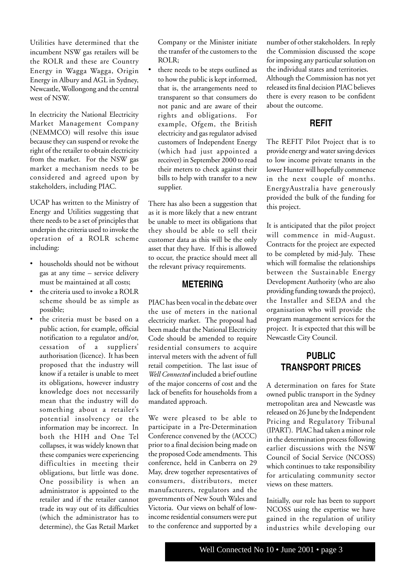Utilities have determined that the incumbent NSW gas retailers will be the ROLR and these are Country Energy in Wagga Wagga, Origin Energy in Albury and AGL in Sydney, Newcastle, Wollongong and the central west of NSW.

In electricity the National Electricity Market Management Company (NEMMCO) will resolve this issue because they can suspend or revoke the right of the retailer to obtain electricity from the market. For the NSW gas market a mechanism needs to be considered and agreed upon by stakeholders, including PIAC.

UCAP has written to the Ministry of Energy and Utilities suggesting that there needs to be a set of principles that underpin the criteria used to invoke the operation of a ROLR scheme including:

- households should not be without gas at any time – service delivery must be maintained at all costs;
- the criteria used to invoke a ROLR scheme should be as simple as possible;
- the criteria must be based on a public action, for example, official notification to a regulator and/or, cessation of a suppliers' authorisation (licence). It has been proposed that the industry will know if a retailer is unable to meet its obligations, however industry knowledge does not necessarily mean that the industry will do something about a retailer's potential insolvency or the information may be incorrect. In both the HIH and One Tel collapses, it was widely known that these companies were experiencing difficulties in meeting their obligations, but little was done. One possibility is when an administrator is appointed to the retailer and if the retailer cannot trade its way out of its difficulties (which the administrator has to determine), the Gas Retail Market

Company or the Minister initiate the transfer of the customers to the ROLR;

there needs to be steps outlined as to how the public is kept informed, that is, the arrangements need to transparent so that consumers do not panic and are aware of their rights and obligations. For example, Ofgem, the British electricity and gas regulator advised customers of Independent Energy (which had just appointed a receiver) in September 2000 to read their meters to check against their bills to help with transfer to a new supplier.

There has also been a suggestion that as it is more likely that a new entrant be unable to meet its obligations that they should be able to sell their customer data as this will be the only asset that they have. If this is allowed to occur, the practice should meet all the relevant privacy requirements.

#### **METERING**

PIAC has been vocal in the debate over the use of meters in the national electricity market. The proposal had been made that the National Electricity Code should be amended to require residential consumers to acquire interval meters with the advent of full retail competition. The last issue of *Well Connected* included a brief outline of the major concerns of cost and the lack of benefits for households from a mandated approach.

We were pleased to be able to participate in a Pre-Determination Conference convened by the (ACCC) prior to a final decision being made on the proposed Code amendments. This conference, held in Canberra on 29 May, drew together representatives of consumers, distributors, meter manufacturers, regulators and the governments of New South Wales and Victoria. Our views on behalf of lowincome residential consumers were put to the conference and supported by a

number of other stakeholders. In reply the Commission discussed the scope for imposing any particular solution on the individual states and territories. Although the Commission has not yet released its final decision PIAC believes there is every reason to be confident about the outcome.

## **REFIT**

The REFIT Pilot Project that is to provide energy and water saving devices to low income private tenants in the lower Hunter will hopefully commence in the next couple of months. EnergyAustralia have generously provided the bulk of the funding for this project.

It is anticipated that the pilot project will commence in mid-August. Contracts for the project are expected to be completed by mid-July. These which will formalise the relationships between the Sustainable Energy Development Authority (who are also providing funding towards the project), the Installer and SEDA and the organisation who will provide the program management services for the project. It is expected that this will be Newcastle City Council.

# **PUBLIC TRANSPORT PRICES**

A determination on fares for State owned public transport in the Sydney metropolitan area and Newcastle was released on 26 June by the Independent Pricing and Regulatory Tribunal (IPART). PIAC had taken a minor role in the determination process following earlier discussions with the NSW Council of Social Service (NCOSS) which continues to take responsibility for articulating community sector views on these matters.

Initially, our role has been to support NCOSS using the expertise we have gained in the regulation of utility industries while developing our